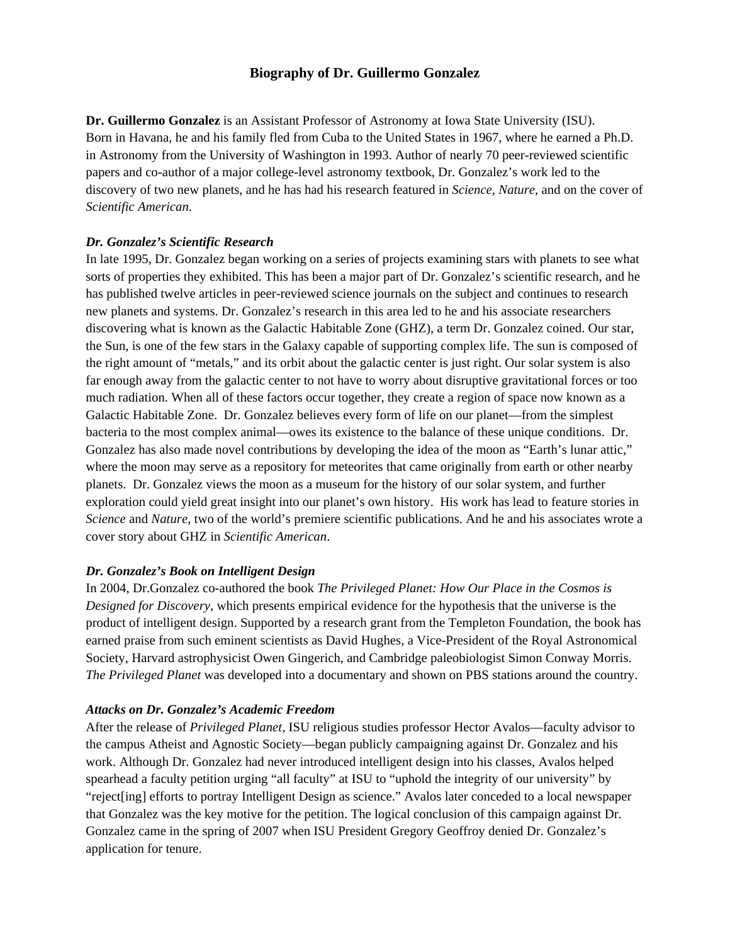### **Biography of Dr. Guillermo Gonzalez**

**Dr. Guillermo Gonzalez** is an Assistant Professor of Astronomy at Iowa State University (ISU). Born in Havana, he and his family fled from Cuba to the United States in 1967, where he earned a Ph.D. in Astronomy from the University of Washington in 1993. Author of nearly 70 peer-reviewed scientific papers and co-author of a major college-level astronomy textbook, Dr. Gonzalez's work led to the discovery of two new planets, and he has had his research featured in *Science*, *Nature*, and on the cover of *Scientific American*.

#### *Dr. Gonzalez's Scientific Research*

In late 1995, Dr. Gonzalez began working on a series of projects examining stars with planets to see what sorts of properties they exhibited. This has been a major part of Dr. Gonzalez's scientific research, and he has published twelve articles in peer-reviewed science journals on the subject and continues to research new planets and systems. Dr. Gonzalez's research in this area led to he and his associate researchers discovering what is known as the Galactic Habitable Zone (GHZ), a term Dr. Gonzalez coined. Our star, the Sun, is one of the few stars in the Galaxy capable of supporting complex life. The sun is composed of the right amount of "metals," and its orbit about the galactic center is just right. Our solar system is also far enough away from the galactic center to not have to worry about disruptive gravitational forces or too much radiation. When all of these factors occur together, they create a region of space now known as a Galactic Habitable Zone. Dr. Gonzalez believes every form of life on our planet—from the simplest bacteria to the most complex animal—owes its existence to the balance of these unique conditions. Dr. Gonzalez has also made novel contributions by developing the idea of the moon as "Earth's lunar attic," where the moon may serve as a repository for meteorites that came originally from earth or other nearby planets. Dr. Gonzalez views the moon as a museum for the history of our solar system, and further exploration could yield great insight into our planet's own history. His work has lead to feature stories in *Science* and *Nature*, two of the world's premiere scientific publications. And he and his associates wrote a cover story about GHZ in *Scientific American*.

#### *Dr. Gonzalez's Book on Intelligent Design*

In 2004, Dr.Gonzalez co-authored the book *The Privileged Planet: How Our Place in the Cosmos is Designed for Discovery*, which presents empirical evidence for the hypothesis that the universe is the product of intelligent design. Supported by a research grant from the Templeton Foundation, the book has earned praise from such eminent scientists as David Hughes, a Vice-President of the Royal Astronomical Society, Harvard astrophysicist Owen Gingerich, and Cambridge paleobiologist Simon Conway Morris. *The Privileged Planet* was developed into a documentary and shown on PBS stations around the country.

#### *Attacks on Dr. Gonzalez's Academic Freedom*

After the release of *Privileged Planet,* ISU religious studies professor Hector Avalos—faculty advisor to the campus Atheist and Agnostic Society—began publicly campaigning against Dr. Gonzalez and his work. Although Dr. Gonzalez had never introduced intelligent design into his classes, Avalos helped spearhead a faculty petition urging "all faculty" at ISU to "uphold the integrity of our university" by "reject[ing] efforts to portray Intelligent Design as science." Avalos later conceded to a local newspaper that Gonzalez was the key motive for the petition. The logical conclusion of this campaign against Dr. Gonzalez came in the spring of 2007 when ISU President Gregory Geoffroy denied Dr. Gonzalez's application for tenure.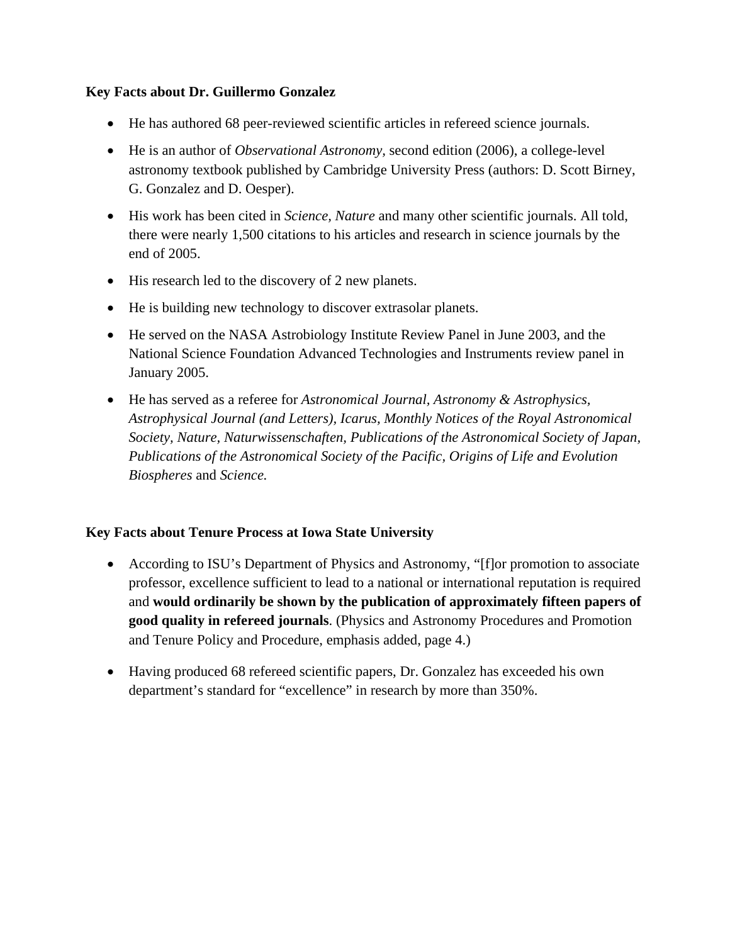## **Key Facts about Dr. Guillermo Gonzalez**

- He has authored 68 peer-reviewed scientific articles in refereed science journals.
- He is an author of *Observational Astronomy,* second edition (2006), a college-level astronomy textbook published by Cambridge University Press (authors: D. Scott Birney, G. Gonzalez and D. Oesper).
- His work has been cited in *Science, Nature* and many other scientific journals. All told, there were nearly 1,500 citations to his articles and research in science journals by the end of 2005.
- His research led to the discovery of 2 new planets.
- He is building new technology to discover extrasolar planets.
- He served on the NASA Astrobiology Institute Review Panel in June 2003, and the National Science Foundation Advanced Technologies and Instruments review panel in January 2005.
- He has served as a referee for *Astronomical Journal, Astronomy & Astrophysics, Astrophysical Journal (and Letters), Icarus, Monthly Notices of the Royal Astronomical Society, Nature, Naturwissenschaften, Publications of the Astronomical Society of Japan, Publications of the Astronomical Society of the Pacific, Origins of Life and Evolution Biospheres* and *Science.*

## **Key Facts about Tenure Process at Iowa State University**

- According to ISU's Department of Physics and Astronomy, "[f] or promotion to associate professor, excellence sufficient to lead to a national or international reputation is required and **would ordinarily be shown by the publication of approximately fifteen papers of good quality in refereed journals**. (Physics and Astronomy Procedures and Promotion and Tenure Policy and Procedure, emphasis added, page 4.)
- Having produced 68 refereed scientific papers, Dr. Gonzalez has exceeded his own department's standard for "excellence" in research by more than 350%.